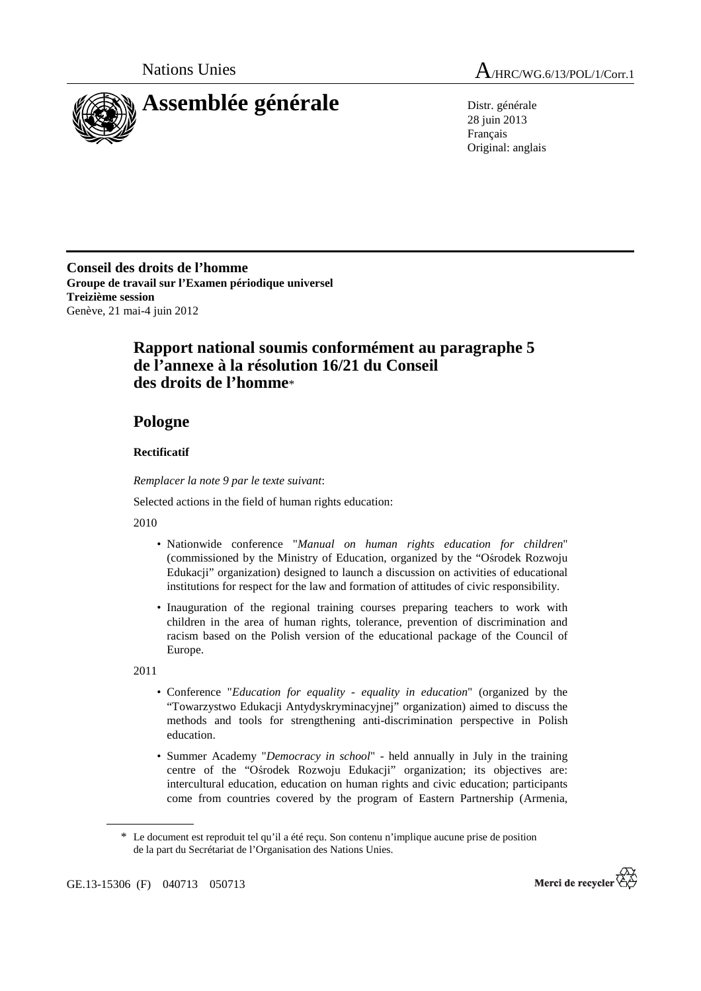

28 juin 2013 Français Original: anglais

**Conseil des droits de l'homme Groupe de travail sur l'Examen périodique universel Treizième session**  Genève, 21 mai-4 juin 2012

## **Rapport national soumis conformément au paragraphe 5 de l'annexe à la résolution 16/21 du Conseil des droits de l'homme**\*

## **Pologne**

## **Rectificatif**

 *Remplacer la note 9 par le texte suivant*:

Selected actions in the field of human rights education:

2010

- Nationwide conference "*Manual on human rights education for children*" (commissioned by the Ministry of Education, organized by the "Ośrodek Rozwoju Edukacji" organization) designed to launch a discussion on activities of educational institutions for respect for the law and formation of attitudes of civic responsibility.
- Inauguration of the regional training courses preparing teachers to work with children in the area of human rights, tolerance, prevention of discrimination and racism based on the Polish version of the educational package of the Council of Europe.

2011

- Conference "*Education for equality equality in education*" (organized by the "Towarzystwo Edukacji Antydyskryminacyjnej" organization) aimed to discuss the methods and tools for strengthening anti-discrimination perspective in Polish education.
- Summer Academy "*Democracy in school*" held annually in July in the training centre of the "Ośrodek Rozwoju Edukacji" organization; its objectives are: intercultural education, education on human rights and civic education; participants come from countries covered by the program of Eastern Partnership (Armenia,



<sup>\*</sup> Le document est reproduit tel qu'il a été reçu. Son contenu n'implique aucune prise de position de la part du Secrétariat de l'Organisation des Nations Unies.